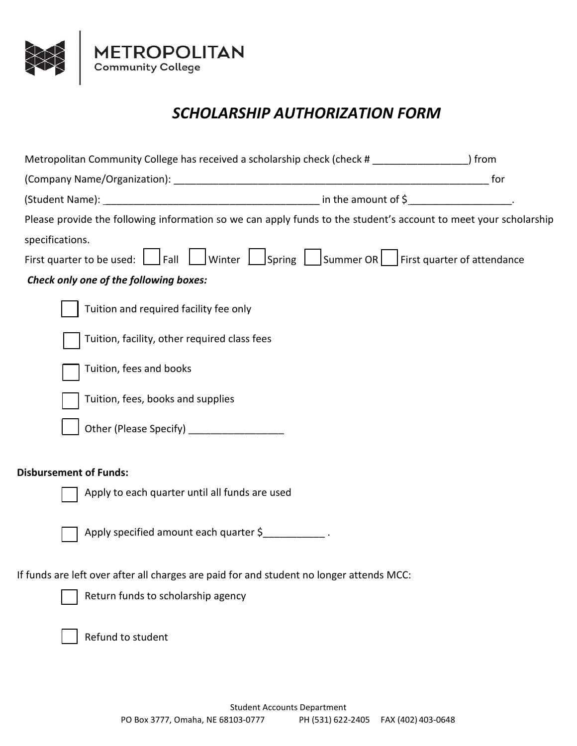

## *SCHOLARSHIP AUTHORIZATION FORM*

| Metropolitan Community College has received a scholarship check (check # _________________) from                 |  |     |
|------------------------------------------------------------------------------------------------------------------|--|-----|
|                                                                                                                  |  | for |
|                                                                                                                  |  |     |
| Please provide the following information so we can apply funds to the student's account to meet your scholarship |  |     |
| specifications.                                                                                                  |  |     |
| First quarter to be used:   Fall   Winter   Spring   Summer OR   First quarter of attendance                     |  |     |
| Check only one of the following boxes:                                                                           |  |     |
| Tuition and required facility fee only                                                                           |  |     |
| Tuition, facility, other required class fees                                                                     |  |     |
| Tuition, fees and books                                                                                          |  |     |
| Tuition, fees, books and supplies                                                                                |  |     |
| Other (Please Specify) ____________________                                                                      |  |     |
| <b>Disbursement of Funds:</b>                                                                                    |  |     |
| Apply to each quarter until all funds are used                                                                   |  |     |
| Apply specified amount each quarter \$                                                                           |  |     |
| If funds are left over after all charges are paid for and student no longer attends MCC:                         |  |     |
| Return funds to scholarship agency                                                                               |  |     |
| Refund to student                                                                                                |  |     |
|                                                                                                                  |  |     |